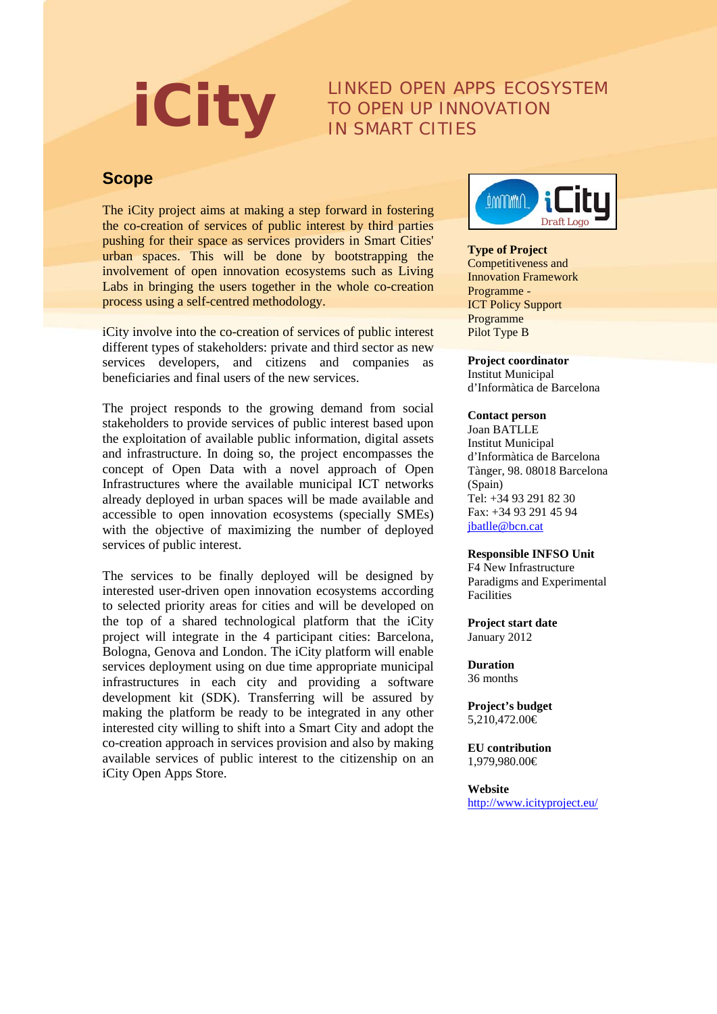# **iCity** LINKED OPEN APPS ECOSYSTEM TO OPEN UP INNOVATION IN SMART CITIES

## **Scope**

The iCity project aims at making a step forward in fostering the co-creation of services of public interest by third parties pushing for their space as services providers in Smart Cities' urban spaces. This will be done by bootstrapping the involvement of open innovation ecosystems such as Living Labs in bringing the users together in the whole co-creation process using a self-centred methodology.

iCity involve into the co-creation of services of public interest different types of stakeholders: private and third sector as new services developers, and citizens and companies as beneficiaries and final users of the new services.

The project responds to the growing demand from social stakeholders to provide services of public interest based upon the exploitation of available public information, digital assets and infrastructure. In doing so, the project encompasses the concept of Open Data with a novel approach of Open Infrastructures where the available municipal ICT networks already deployed in urban spaces will be made available and accessible to open innovation ecosystems (specially SMEs) with the objective of maximizing the number of deployed services of public interest.

The services to be finally deployed will be designed by interested user-driven open innovation ecosystems according to selected priority areas for cities and will be developed on the top of a shared technological platform that the iCity project will integrate in the 4 participant cities: Barcelona, Bologna, Genova and London. The iCity platform will enable services deployment using on due time appropriate municipal infrastructures in each city and providing a software development kit (SDK). Transferring will be assured by making the platform be ready to be integrated in any other interested city willing to shift into a Smart City and adopt the co-creation approach in services provision and also by making available services of public interest to the citizenship on an iCity Open Apps Store.



### **Type of Project**

Competitiveness and Innovation Framework Programme - ICT Policy Support Programme Pilot Type B

**Project coordinator** Institut Municipal d'Informàtica de Barcelona

#### **Contact person**

Joan BATLLE Institut Municipal d'Informàtica de Barcelona Tànger, 98. 08018 Barcelona (Spain) Tel: +34 93 291 82 30 Fax: +34 93 291 45 94 [jbatlle@bcn.cat](mailto:jbatlle@bcn.cat)

#### **Responsible INFSO Unit**

F4 New Infrastructure Paradigms and Experimental Facilities

**Project start date** January 2012

**Duration** 36 months

**Project's budget** 5,210,472.00€

**EU contribution** 1,979,980.00€

**Website** <http://www.icityproject.eu/>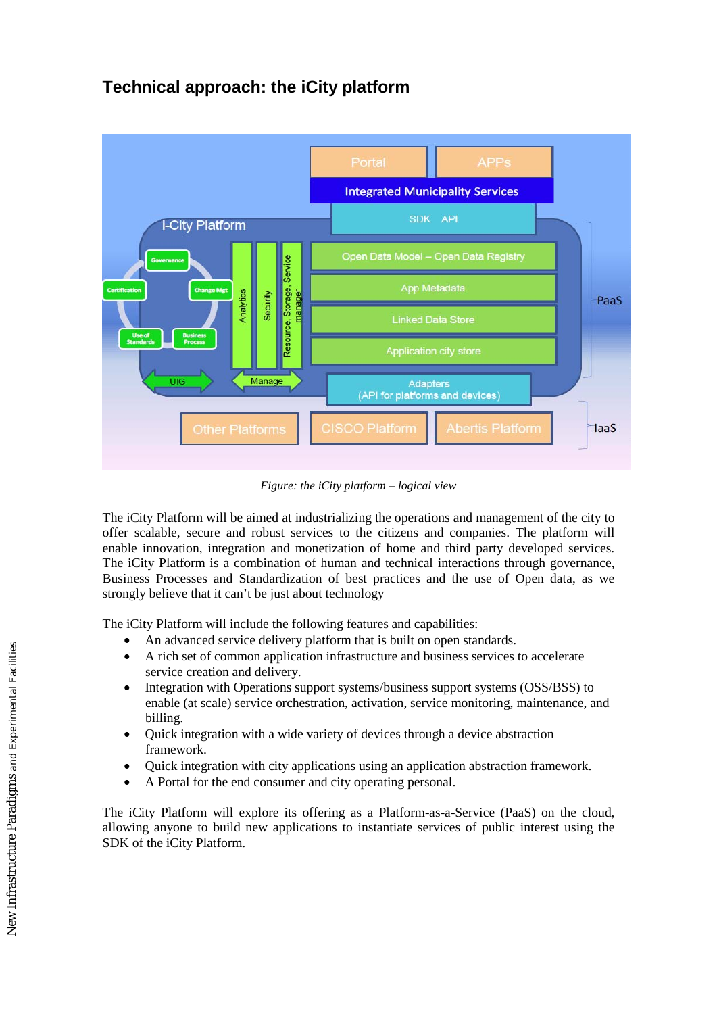# **Technical approach: the iCity platform**



*Figure: the iCity platform – logical view*

The iCity Platform will be aimed at industrializing the operations and management of the city to offer scalable, secure and robust services to the citizens and companies. The platform will enable innovation, integration and monetization of home and third party developed services. The iCity Platform is a combination of human and technical interactions through governance, Business Processes and Standardization of best practices and the use of Open data, as we strongly believe that it can't be just about technology

The iCity Platform will include the following features and capabilities:

- An advanced service delivery platform that is built on open standards.
- A rich set of common application infrastructure and business services to accelerate service creation and delivery.
- Integration with Operations support systems/business support systems (OSS/BSS) to enable (at scale) service orchestration, activation, service monitoring, maintenance, and billing.
- Quick integration with a wide variety of devices through a device abstraction framework.
- Quick integration with city applications using an application abstraction framework.
- A Portal for the end consumer and city operating personal.

The iCity Platform will explore its offering as a Platform-as-a-Service (PaaS) on the cloud, allowing anyone to build new applications to instantiate services of public interest using the SDK of the iCity Platform.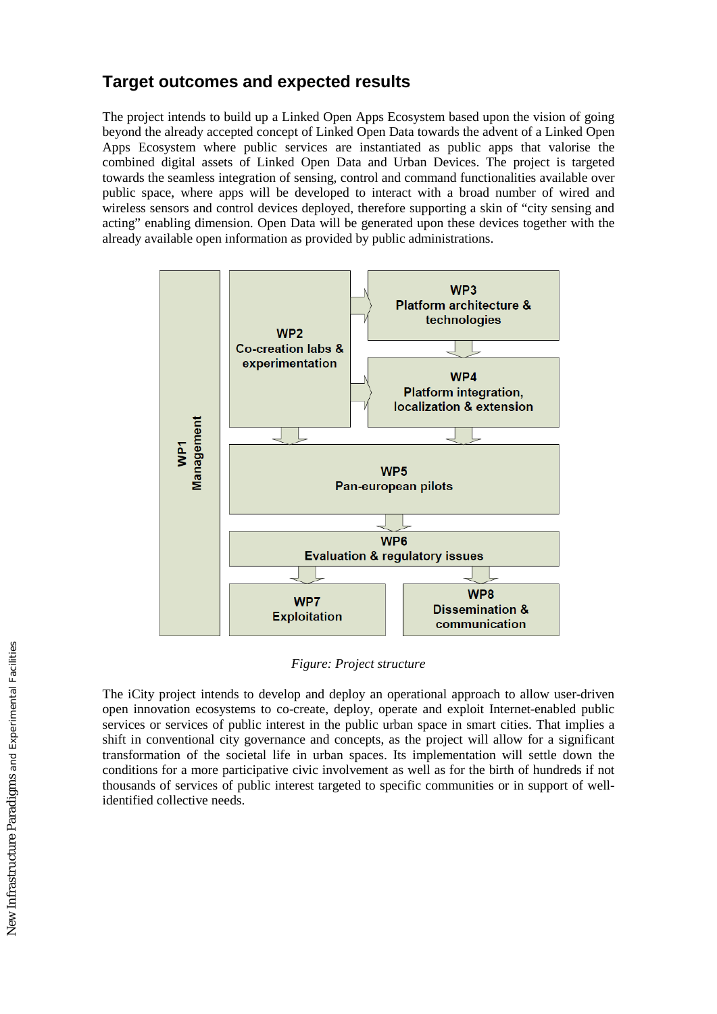## **Target outcomes and expected results**

The project intends to build up a Linked Open Apps Ecosystem based upon the vision of going beyond the already accepted concept of Linked Open Data towards the advent of a Linked Open Apps Ecosystem where public services are instantiated as public apps that valorise the combined digital assets of Linked Open Data and Urban Devices. The project is targeted towards the seamless integration of sensing, control and command functionalities available over public space, where apps will be developed to interact with a broad number of wired and wireless sensors and control devices deployed, therefore supporting a skin of "city sensing and acting" enabling dimension. Open Data will be generated upon these devices together with the already available open information as provided by public administrations.



*Figure: Project structure*

The iCity project intends to develop and deploy an operational approach to allow user-driven open innovation ecosystems to co-create, deploy, operate and exploit Internet-enabled public services or services of public interest in the public urban space in smart cities. That implies a shift in conventional city governance and concepts, as the project will allow for a significant transformation of the societal life in urban spaces. Its implementation will settle down the conditions for a more participative civic involvement as well as for the birth of hundreds if not thousands of services of public interest targeted to specific communities or in support of wellidentified collective needs.